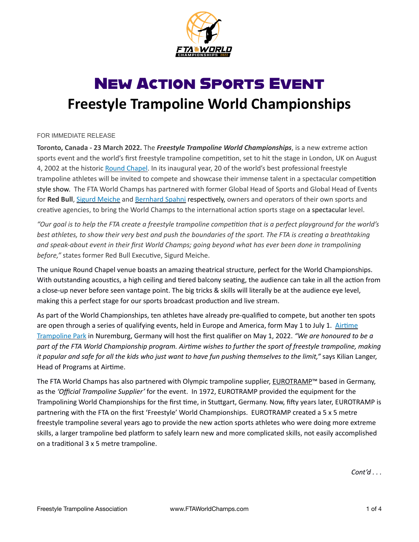

# New Action Sports Event **Freestyle Trampoline World Championships**

#### FOR IMMEDIATE RELEASE

**Toronto, Canada - 23 March 2022.** The *Freestyle Trampoline World Championships*, is a new extreme action sports event and the world's first freestyle trampoline competition, set to hit the stage in London, UK on August 4, 2002 at the historic [Round Chapel.](https://www.roundchapel.org/) In its inaugural year, 20 of the world's best professional freestyle trampoline athletes will be invited to compete and showcase their immense talent in a spectacular competition style show. The FTA World Champs has partnered with former Global Head of Sports and Global Head of Events for **Red Bull**, [Sigurd Meiche](https://www.meiche.at/) and [Bernhard Spahni](https://www.marti-spahni.ch/bernhard-spahni) respectively, owners and operators of their own sports and creative agencies, to bring the World Champs to the international action sports stage on a spectacular level.

*"Our goal is to help the FTA create a freestyle trampoline competition that is a perfect playground for the world's best athletes, to show their very best and push the boundaries of the sport. The FTA is creating a breathtaking and speak-about event in their first World Champs; going beyond what has ever been done in trampolining before,"* states former Red Bull Executive, Sigurd Meiche.

The unique Round Chapel venue boasts an amazing theatrical structure, perfect for the World Championships. With outstanding acoustics, a high ceiling and tiered balcony seating, the audience can take in all the action from a close-up never before seen vantage point. The big tricks & skills will literally be at the audience eye level, making this a perfect stage for our sports broadcast production and live stream.

As part of the World Championships, ten athletes have already pre-qualified to compete, but another ten spots are open through a series of qualifying events, held in Europe and America, form May 1 to July 1. [Airtime](https://airtimetrampolin.de/)  [Trampoline Park](https://airtimetrampolin.de/) in Nuremburg, Germany will host the first qualifier on May 1, 2022. *"We are honoured to be a part of the FTA World Championship program. Airtime wishes to further the sport of freestyle trampoline, making it popular and safe for all the kids who just want to have fun pushing themselves to the limit,"* says Kilian Langer, Head of Programs at Airtime.

The FTA World Champs has also partnered with Olympic trampoline supplier, [EUROTRAMP](https://www.eurotramp.com/en/company/why-eurotramp/)™ based in Germany, as the *'Official Trampoline Supplier'* for the event. In 1972, EUROTRAMP provided the equipment for the Trampolining World Championships for the first time, in Stuttgart, Germany. Now, fifty years later, EUROTRAMP is partnering with the FTA on the first 'Freestyle' World Championships. EUROTRAMP created a 5 x 5 metre freestyle trampoline several years ago to provide the new action sports athletes who were doing more extreme skills, a larger trampoline bed platform to safely learn new and more complicated skills, not easily accomplished on a traditional 3 x 5 metre trampoline.

*Cont'd . . .*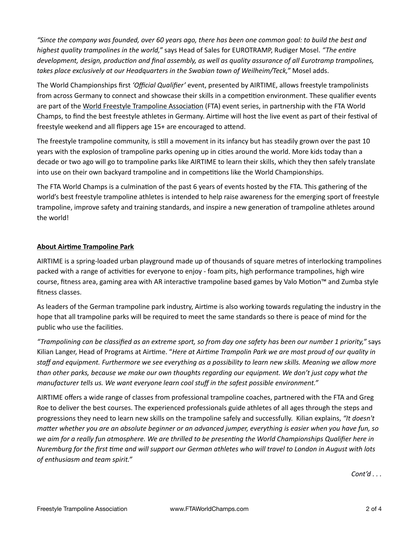*"Since the company was founded, over 60 years ago, there has been one common goal: to build the best and highest quality trampolines in the world,"* says Head of Sales for EUROTRAMP, Rudiger Mosel. *"The entire development, design, production and final assembly, as well as quality assurance of all Eurotramp trampolines, takes place exclusively at our Headquarters in the Swabian town of Weilheim/Teck,"* Mosel adds.

The World Championships first *'Official Qualifier'* event, presented by AIRTIME, allows freestyle trampolinists from across Germany to connect and showcase their skills in a competition environment. These qualifier events are part of the [World Freestyle Trampoline Association](https://www.freestyletrampolineassociation.com/events) (FTA) event series, in partnership with the FTA World Champs, to find the best freestyle athletes in Germany. Airtime will host the live event as part of their festival of freestyle weekend and all flippers age 15+ are encouraged to attend.

The freestyle trampoline community, is still a movement in its infancy but has steadily grown over the past 10 years with the explosion of trampoline parks opening up in cities around the world. More kids today than a decade or two ago will go to trampoline parks like AIRTIME to learn their skills, which they then safely translate into use on their own backyard trampoline and in competitions like the World Championships.

The FTA World Champs is a culmination of the past 6 years of events hosted by the FTA. This gathering of the world's best freestyle trampoline athletes is intended to help raise awareness for the emerging sport of freestyle trampoline, improve safety and training standards, and inspire a new generation of trampoline athletes around the world!

### **About Airtime Trampoline Park**

AIRTIME is a spring-loaded urban playground made up of thousands of square metres of interlocking trampolines packed with a range of activities for everyone to enjoy - foam pits, high performance trampolines, high wire course, fitness area, gaming area with AR interactive trampoline based games by Valo Motion™ and Zumba style fitness classes.

As leaders of the German trampoline park industry, Airtime is also working towards regulating the industry in the hope that all trampoline parks will be required to meet the same standards so there is peace of mind for the public who use the facilities.

*"Trampolining can be classified as an extreme sport, so from day one safety has been our number 1 priority,"* says Kilian Langer, Head of Programs at Airtime. "*Here at Airtime Trampolin Park we are most proud of our quality in staff and equipment. Furthermore we see everything as a possibility to learn new skills. Meaning we allow more than other parks, because we make our own thoughts regarding our equipment. We don't just copy what the manufacturer tells us. We want everyone learn cool stuff in the safest possible environment."*

AIRTIME offers a wide range of classes from professional trampoline coaches, partnered with the FTA and Greg Roe to deliver the best courses. The experienced professionals guide athletes of all ages through the steps and progressions they need to learn new skills on the trampoline safely and successfully. Kilian explains, *"It doesn't matter whether you are an absolute beginner or an advanced jumper, everything is easier when you have fun, so we aim for a really fun atmosphere. We are thrilled to be presenting the World Championships Qualifier here in Nuremburg for the first time and will support our German athletes who will travel to London in August with lots of enthusiasm and team spirit."*

*Cont'd . . .*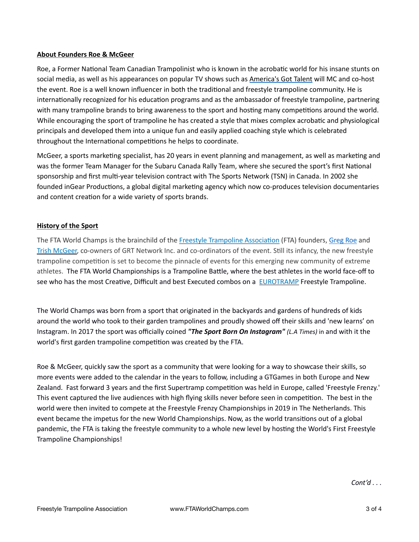#### **About Founders Roe & McGeer**

Roe, a Former National Team Canadian Trampolinist who is known in the acrobatic world for his insane stunts on social media, as well as his appearances on popular TV shows such as [America's Got Talent](https://www.youtube.com/watch?v=RjjmB1vl3Fw) will MC and co-host the event. Roe is a well known influencer in both the traditional and freestyle trampoline community. He is internationally recognized for his education programs and as the ambassador of freestyle trampoline, partnering with many trampoline brands to bring awareness to the sport and hosting many competitions around the world. While encouraging the sport of trampoline he has created a style that mixes complex acrobatic and physiological principals and developed them into a unique fun and easily applied coaching style which is celebrated throughout the International competitions he helps to coordinate.

McGeer, a sports marketing specialist, has 20 years in event planning and management, as well as marketing and was the former Team Manager for the Subaru Canada Rally Team, where she secured the sport's first National sponsorship and first multi-year television contract with The Sports Network (TSN) in Canada. In 2002 she founded inGear Productions, a global digital marketing agency which now co-produces television documentaries and content creation for a wide variety of sports brands.

#### **History of the Sport**

The FTA World Champs is the brainchild of the [Freestyle Trampoline Association](http://www.freestyletrampolineassociation.com) (FTA) founders, [Greg Roe](https://www.youtube.com/watch?v=G_xZQOMmamk&list=PLzMCilhwGYueIbTIirq93i_nZJ2KL5XQY) and [Trish McGeer,](http://www.ingearproductions.com) co-owners of GRT Network Inc. and co-ordinators of the event. Still its infancy, the new freestyle trampoline competition is set to become the pinnacle of events for this emerging new community of extreme athletes. The FTA World Championships is a Trampoline Battle, where the best athletes in the world face-off to see who has the most Creative, Difficult and best Executed combos on a **EUROTRAMP** Freestyle Trampoline.

The World Champs was born from a sport that originated in the backyards and gardens of hundreds of kids around the world who took to their garden trampolines and proudly showed off their skills and 'new learns' on Instagram. In 2017 the sport was officially coined *"The Sport Born On Instagram" (L.A Times)* in and with it the world's first garden trampoline competition was created by the FTA.

Roe & McGeer, quickly saw the sport as a community that were looking for a way to showcase their skills, so more events were added to the calendar in the years to follow, including a GTGames in both Europe and New Zealand. Fast forward 3 years and the first Supertramp competition was held in Europe, called 'Freestyle Frenzy.' This event captured the live audiences with high flying skills never before seen in competition. The best in the world were then invited to compete at the Freestyle Frenzy Championships in 2019 in The Netherlands. This event became the impetus for the new World Championships. Now, as the world transitions out of a global pandemic, the FTA is taking the freestyle community to a whole new level by hosting the World's First Freestyle Trampoline Championships!